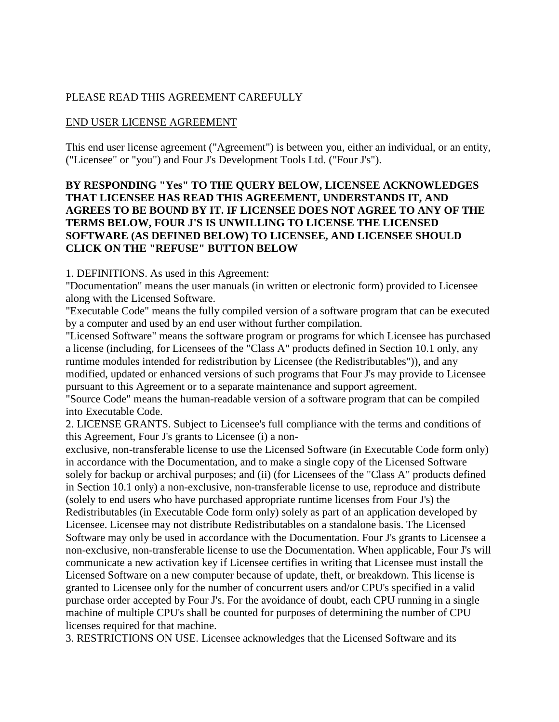### PLEASE READ THIS AGREEMENT CAREFULLY

#### END USER LICENSE AGREEMENT

This end user license agreement ("Agreement") is between you, either an individual, or an entity, ("Licensee" or "you") and Four J's Development Tools Ltd. ("Four J's").

### **BY RESPONDING "Yes" TO THE QUERY BELOW, LICENSEE ACKNOWLEDGES THAT LICENSEE HAS READ THIS AGREEMENT, UNDERSTANDS IT, AND AGREES TO BE BOUND BY IT. IF LICENSEE DOES NOT AGREE TO ANY OF THE TERMS BELOW, FOUR J'S IS UNWILLING TO LICENSE THE LICENSED SOFTWARE (AS DEFINED BELOW) TO LICENSEE, AND LICENSEE SHOULD CLICK ON THE "REFUSE" BUTTON BELOW**

1. DEFINITIONS. As used in this Agreement:

"Documentation" means the user manuals (in written or electronic form) provided to Licensee along with the Licensed Software.

"Executable Code" means the fully compiled version of a software program that can be executed by a computer and used by an end user without further compilation.

"Licensed Software" means the software program or programs for which Licensee has purchased a license (including, for Licensees of the "Class A" products defined in Section 10.1 only, any runtime modules intended for redistribution by Licensee (the Redistributables")), and any modified, updated or enhanced versions of such programs that Four J's may provide to Licensee pursuant to this Agreement or to a separate maintenance and support agreement.

"Source Code" means the human-readable version of a software program that can be compiled into Executable Code.

2. LICENSE GRANTS. Subject to Licensee's full compliance with the terms and conditions of this Agreement, Four J's grants to Licensee (i) a non-

exclusive, non-transferable license to use the Licensed Software (in Executable Code form only) in accordance with the Documentation, and to make a single copy of the Licensed Software solely for backup or archival purposes; and (ii) (for Licensees of the "Class A" products defined in Section 10.1 only) a non-exclusive, non-transferable license to use, reproduce and distribute (solely to end users who have purchased appropriate runtime licenses from Four J's) the Redistributables (in Executable Code form only) solely as part of an application developed by Licensee. Licensee may not distribute Redistributables on a standalone basis. The Licensed Software may only be used in accordance with the Documentation. Four J's grants to Licensee a non-exclusive, non-transferable license to use the Documentation. When applicable, Four J's will communicate a new activation key if Licensee certifies in writing that Licensee must install the Licensed Software on a new computer because of update, theft, or breakdown. This license is granted to Licensee only for the number of concurrent users and/or CPU's specified in a valid purchase order accepted by Four J's. For the avoidance of doubt, each CPU running in a single machine of multiple CPU's shall be counted for purposes of determining the number of CPU licenses required for that machine.

3. RESTRICTIONS ON USE. Licensee acknowledges that the Licensed Software and its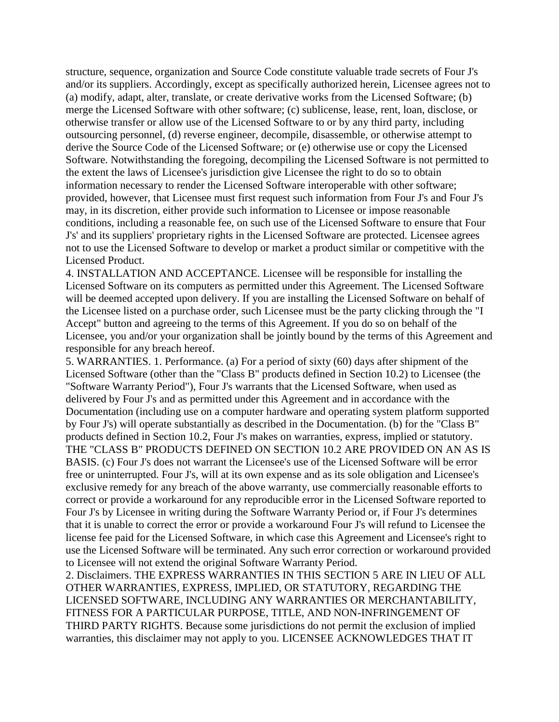structure, sequence, organization and Source Code constitute valuable trade secrets of Four J's and/or its suppliers. Accordingly, except as specifically authorized herein, Licensee agrees not to (a) modify, adapt, alter, translate, or create derivative works from the Licensed Software; (b) merge the Licensed Software with other software; (c) sublicense, lease, rent, loan, disclose, or otherwise transfer or allow use of the Licensed Software to or by any third party, including outsourcing personnel, (d) reverse engineer, decompile, disassemble, or otherwise attempt to derive the Source Code of the Licensed Software; or (e) otherwise use or copy the Licensed Software. Notwithstanding the foregoing, decompiling the Licensed Software is not permitted to the extent the laws of Licensee's jurisdiction give Licensee the right to do so to obtain information necessary to render the Licensed Software interoperable with other software; provided, however, that Licensee must first request such information from Four J's and Four J's may, in its discretion, either provide such information to Licensee or impose reasonable conditions, including a reasonable fee, on such use of the Licensed Software to ensure that Four J's' and its suppliers' proprietary rights in the Licensed Software are protected. Licensee agrees not to use the Licensed Software to develop or market a product similar or competitive with the Licensed Product.

4. INSTALLATION AND ACCEPTANCE. Licensee will be responsible for installing the Licensed Software on its computers as permitted under this Agreement. The Licensed Software will be deemed accepted upon delivery. If you are installing the Licensed Software on behalf of the Licensee listed on a purchase order, such Licensee must be the party clicking through the "I Accept" button and agreeing to the terms of this Agreement. If you do so on behalf of the Licensee, you and/or your organization shall be jointly bound by the terms of this Agreement and responsible for any breach hereof.

5. WARRANTIES. 1. Performance. (a) For a period of sixty (60) days after shipment of the Licensed Software (other than the "Class B" products defined in Section 10.2) to Licensee (the "Software Warranty Period"), Four J's warrants that the Licensed Software, when used as delivered by Four J's and as permitted under this Agreement and in accordance with the Documentation (including use on a computer hardware and operating system platform supported by Four J's) will operate substantially as described in the Documentation. (b) for the "Class B" products defined in Section 10.2, Four J's makes on warranties, express, implied or statutory. THE "CLASS B" PRODUCTS DEFINED ON SECTION 10.2 ARE PROVIDED ON AN AS IS BASIS. (c) Four J's does not warrant the Licensee's use of the Licensed Software will be error free or uninterrupted. Four J's, will at its own expense and as its sole obligation and Licensee's exclusive remedy for any breach of the above warranty, use commercially reasonable efforts to correct or provide a workaround for any reproducible error in the Licensed Software reported to Four J's by Licensee in writing during the Software Warranty Period or, if Four J's determines that it is unable to correct the error or provide a workaround Four J's will refund to Licensee the license fee paid for the Licensed Software, in which case this Agreement and Licensee's right to use the Licensed Software will be terminated. Any such error correction or workaround provided to Licensee will not extend the original Software Warranty Period.

2. Disclaimers. THE EXPRESS WARRANTIES IN THIS SECTION 5 ARE IN LIEU OF ALL OTHER WARRANTIES, EXPRESS, IMPLIED, OR STATUTORY, REGARDING THE LICENSED SOFTWARE, INCLUDING ANY WARRANTIES OR MERCHANTABILITY, FITNESS FOR A PARTICULAR PURPOSE, TITLE, AND NON-INFRINGEMENT OF THIRD PARTY RIGHTS. Because some jurisdictions do not permit the exclusion of implied warranties, this disclaimer may not apply to you. LICENSEE ACKNOWLEDGES THAT IT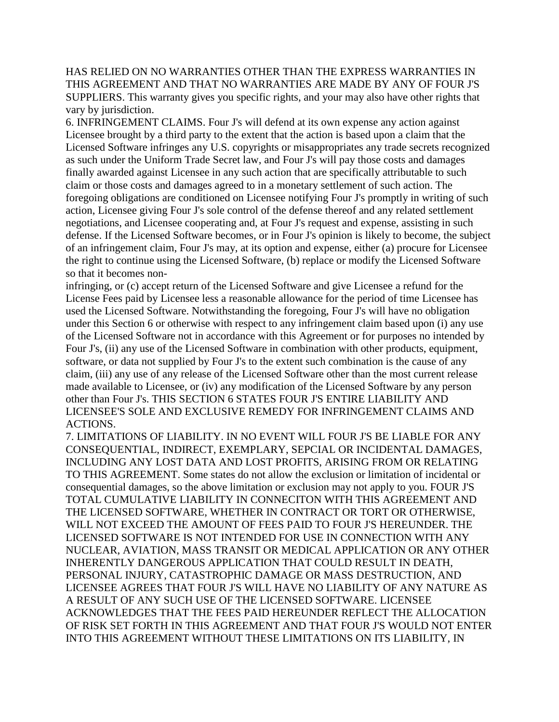HAS RELIED ON NO WARRANTIES OTHER THAN THE EXPRESS WARRANTIES IN THIS AGREEMENT AND THAT NO WARRANTIES ARE MADE BY ANY OF FOUR J'S SUPPLIERS. This warranty gives you specific rights, and your may also have other rights that vary by jurisdiction.

6. INFRINGEMENT CLAIMS. Four J's will defend at its own expense any action against Licensee brought by a third party to the extent that the action is based upon a claim that the Licensed Software infringes any U.S. copyrights or misappropriates any trade secrets recognized as such under the Uniform Trade Secret law, and Four J's will pay those costs and damages finally awarded against Licensee in any such action that are specifically attributable to such claim or those costs and damages agreed to in a monetary settlement of such action. The foregoing obligations are conditioned on Licensee notifying Four J's promptly in writing of such action, Licensee giving Four J's sole control of the defense thereof and any related settlement negotiations, and Licensee cooperating and, at Four J's request and expense, assisting in such defense. If the Licensed Software becomes, or in Four J's opinion is likely to become, the subject of an infringement claim, Four J's may, at its option and expense, either (a) procure for Licensee the right to continue using the Licensed Software, (b) replace or modify the Licensed Software so that it becomes non-

infringing, or (c) accept return of the Licensed Software and give Licensee a refund for the License Fees paid by Licensee less a reasonable allowance for the period of time Licensee has used the Licensed Software. Notwithstanding the foregoing, Four J's will have no obligation under this Section 6 or otherwise with respect to any infringement claim based upon (i) any use of the Licensed Software not in accordance with this Agreement or for purposes no intended by Four J's, (ii) any use of the Licensed Software in combination with other products, equipment, software, or data not supplied by Four J's to the extent such combination is the cause of any claim, (iii) any use of any release of the Licensed Software other than the most current release made available to Licensee, or (iv) any modification of the Licensed Software by any person other than Four J's. THIS SECTION 6 STATES FOUR J'S ENTIRE LIABILITY AND LICENSEE'S SOLE AND EXCLUSIVE REMEDY FOR INFRINGEMENT CLAIMS AND ACTIONS.

7. LIMITATIONS OF LIABILITY. IN NO EVENT WILL FOUR J'S BE LIABLE FOR ANY CONSEQUENTIAL, INDIRECT, EXEMPLARY, SEPCIAL OR INCIDENTAL DAMAGES, INCLUDING ANY LOST DATA AND LOST PROFITS, ARISING FROM OR RELATING TO THIS AGREEMENT. Some states do not allow the exclusion or limitation of incidental or consequential damages, so the above limitation or exclusion may not apply to you. FOUR J'S TOTAL CUMULATIVE LIABILITY IN CONNECITON WITH THIS AGREEMENT AND THE LICENSED SOFTWARE, WHETHER IN CONTRACT OR TORT OR OTHERWISE, WILL NOT EXCEED THE AMOUNT OF FEES PAID TO FOUR J'S HEREUNDER. THE LICENSED SOFTWARE IS NOT INTENDED FOR USE IN CONNECTION WITH ANY NUCLEAR, AVIATION, MASS TRANSIT OR MEDICAL APPLICATION OR ANY OTHER INHERENTLY DANGEROUS APPLICATION THAT COULD RESULT IN DEATH, PERSONAL INJURY, CATASTROPHIC DAMAGE OR MASS DESTRUCTION, AND LICENSEE AGREES THAT FOUR J'S WILL HAVE NO LIABILITY OF ANY NATURE AS A RESULT OF ANY SUCH USE OF THE LICENSED SOFTWARE. LICENSEE ACKNOWLEDGES THAT THE FEES PAID HEREUNDER REFLECT THE ALLOCATION OF RISK SET FORTH IN THIS AGREEMENT AND THAT FOUR J'S WOULD NOT ENTER INTO THIS AGREEMENT WITHOUT THESE LIMITATIONS ON ITS LIABILITY, IN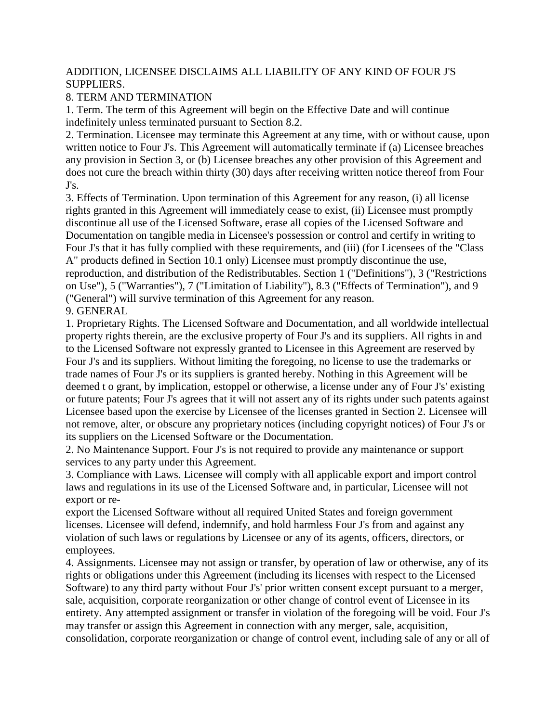## ADDITION, LICENSEE DISCLAIMS ALL LIABILITY OF ANY KIND OF FOUR J'S SUPPLIERS.

# 8. TERM AND TERMINATION

1. Term. The term of this Agreement will begin on the Effective Date and will continue indefinitely unless terminated pursuant to Section 8.2.

2. Termination. Licensee may terminate this Agreement at any time, with or without cause, upon written notice to Four J's. This Agreement will automatically terminate if (a) Licensee breaches any provision in Section 3, or (b) Licensee breaches any other provision of this Agreement and does not cure the breach within thirty (30) days after receiving written notice thereof from Four J's.

3. Effects of Termination. Upon termination of this Agreement for any reason, (i) all license rights granted in this Agreement will immediately cease to exist, (ii) Licensee must promptly discontinue all use of the Licensed Software, erase all copies of the Licensed Software and Documentation on tangible media in Licensee's possession or control and certify in writing to Four J's that it has fully complied with these requirements, and (iii) (for Licensees of the "Class A" products defined in Section 10.1 only) Licensee must promptly discontinue the use, reproduction, and distribution of the Redistributables. Section 1 ("Definitions"), 3 ("Restrictions on Use"), 5 ("Warranties"), 7 ("Limitation of Liability"), 8.3 ("Effects of Termination"), and 9 ("General") will survive termination of this Agreement for any reason.

## 9. GENERAL

1. Proprietary Rights. The Licensed Software and Documentation, and all worldwide intellectual property rights therein, are the exclusive property of Four J's and its suppliers. All rights in and to the Licensed Software not expressly granted to Licensee in this Agreement are reserved by Four J's and its suppliers. Without limiting the foregoing, no license to use the trademarks or trade names of Four J's or its suppliers is granted hereby. Nothing in this Agreement will be deemed t o grant, by implication, estoppel or otherwise, a license under any of Four J's' existing or future patents; Four J's agrees that it will not assert any of its rights under such patents against Licensee based upon the exercise by Licensee of the licenses granted in Section 2. Licensee will not remove, alter, or obscure any proprietary notices (including copyright notices) of Four J's or its suppliers on the Licensed Software or the Documentation.

2. No Maintenance Support. Four J's is not required to provide any maintenance or support services to any party under this Agreement.

3. Compliance with Laws. Licensee will comply with all applicable export and import control laws and regulations in its use of the Licensed Software and, in particular, Licensee will not export or re-

export the Licensed Software without all required United States and foreign government licenses. Licensee will defend, indemnify, and hold harmless Four J's from and against any violation of such laws or regulations by Licensee or any of its agents, officers, directors, or employees.

4. Assignments. Licensee may not assign or transfer, by operation of law or otherwise, any of its rights or obligations under this Agreement (including its licenses with respect to the Licensed Software) to any third party without Four J's' prior written consent except pursuant to a merger, sale, acquisition, corporate reorganization or other change of control event of Licensee in its entirety. Any attempted assignment or transfer in violation of the foregoing will be void. Four J's may transfer or assign this Agreement in connection with any merger, sale, acquisition, consolidation, corporate reorganization or change of control event, including sale of any or all of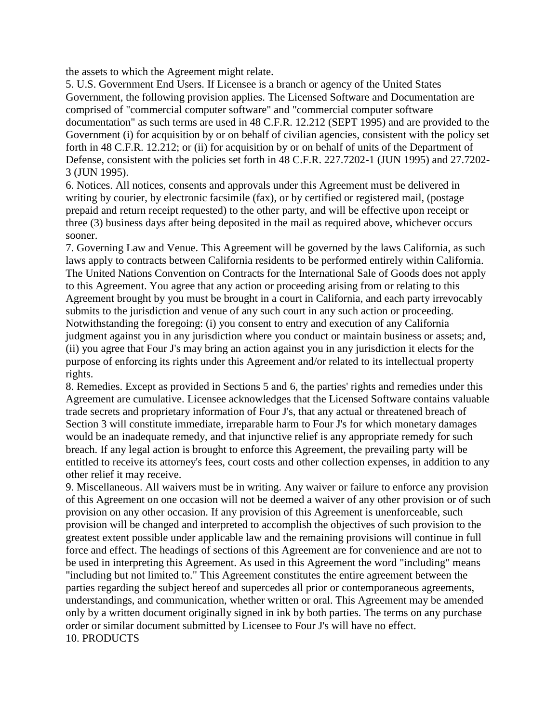the assets to which the Agreement might relate.

5. U.S. Government End Users. If Licensee is a branch or agency of the United States Government, the following provision applies. The Licensed Software and Documentation are comprised of "commercial computer software" and "commercial computer software documentation" as such terms are used in 48 C.F.R. 12.212 (SEPT 1995) and are provided to the Government (i) for acquisition by or on behalf of civilian agencies, consistent with the policy set forth in 48 C.F.R. 12.212; or (ii) for acquisition by or on behalf of units of the Department of Defense, consistent with the policies set forth in 48 C.F.R. 227.7202-1 (JUN 1995) and 27.7202- 3 (JUN 1995).

6. Notices. All notices, consents and approvals under this Agreement must be delivered in writing by courier, by electronic facsimile (fax), or by certified or registered mail, (postage prepaid and return receipt requested) to the other party, and will be effective upon receipt or three (3) business days after being deposited in the mail as required above, whichever occurs sooner.

7. Governing Law and Venue. This Agreement will be governed by the laws California, as such laws apply to contracts between California residents to be performed entirely within California. The United Nations Convention on Contracts for the International Sale of Goods does not apply to this Agreement. You agree that any action or proceeding arising from or relating to this Agreement brought by you must be brought in a court in California, and each party irrevocably submits to the jurisdiction and venue of any such court in any such action or proceeding. Notwithstanding the foregoing: (i) you consent to entry and execution of any California judgment against you in any jurisdiction where you conduct or maintain business or assets; and, (ii) you agree that Four J's may bring an action against you in any jurisdiction it elects for the purpose of enforcing its rights under this Agreement and/or related to its intellectual property rights.

8. Remedies. Except as provided in Sections 5 and 6, the parties' rights and remedies under this Agreement are cumulative. Licensee acknowledges that the Licensed Software contains valuable trade secrets and proprietary information of Four J's, that any actual or threatened breach of Section 3 will constitute immediate, irreparable harm to Four J's for which monetary damages would be an inadequate remedy, and that injunctive relief is any appropriate remedy for such breach. If any legal action is brought to enforce this Agreement, the prevailing party will be entitled to receive its attorney's fees, court costs and other collection expenses, in addition to any other relief it may receive.

9. Miscellaneous. All waivers must be in writing. Any waiver or failure to enforce any provision of this Agreement on one occasion will not be deemed a waiver of any other provision or of such provision on any other occasion. If any provision of this Agreement is unenforceable, such provision will be changed and interpreted to accomplish the objectives of such provision to the greatest extent possible under applicable law and the remaining provisions will continue in full force and effect. The headings of sections of this Agreement are for convenience and are not to be used in interpreting this Agreement. As used in this Agreement the word "including" means "including but not limited to." This Agreement constitutes the entire agreement between the parties regarding the subject hereof and supercedes all prior or contemporaneous agreements, understandings, and communication, whether written or oral. This Agreement may be amended only by a written document originally signed in ink by both parties. The terms on any purchase order or similar document submitted by Licensee to Four J's will have no effect. 10. PRODUCTS